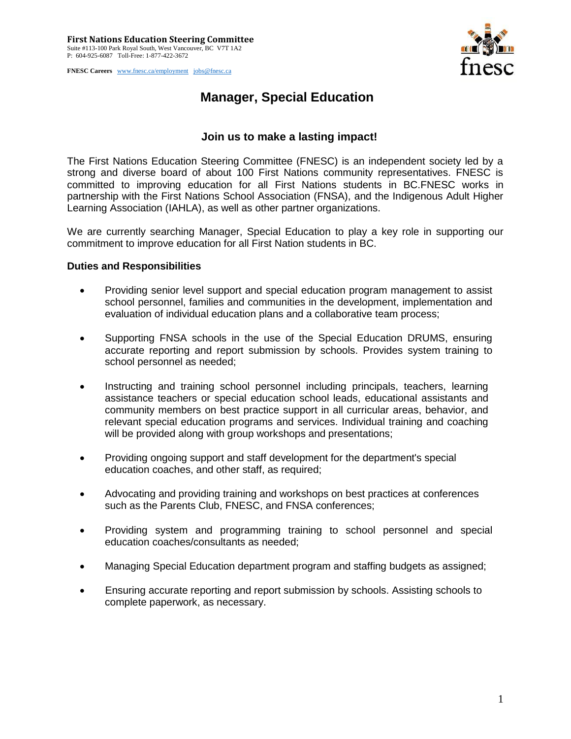**FNESC Careers** [www.fnesc.ca/employment](http://www.fnesc.ca/employment) [jobs@fnesc.ca](mailto:jobs@fnesc.ca) 



## **Manager, Special Education**

## **Join us to make a lasting impact!**

The First Nations Education Steering Committee (FNESC) is an independent society led by a strong and diverse board of about 100 First Nations community representatives. FNESC is committed to improving education for all First Nations students in BC.FNESC works in partnership with the First Nations School Association (FNSA), and the Indigenous Adult Higher Learning Association (IAHLA), as well as other partner organizations.

We are currently searching Manager, Special Education to play a key role in supporting our commitment to improve education for all First Nation students in BC.

## **Duties and Responsibilities**

- Providing senior level support and special education program management to assist school personnel, families and communities in the development, implementation and evaluation of individual education plans and a collaborative team process;
- Supporting FNSA schools in the use of the Special Education DRUMS, ensuring accurate reporting and report submission by schools. Provides system training to school personnel as needed;
- Instructing and training school personnel including principals, teachers, learning assistance teachers or special education school leads, educational assistants and community members on best practice support in all curricular areas, behavior, and relevant special education programs and services. Individual training and coaching will be provided along with group workshops and presentations;
- Providing ongoing support and staff development for the department's special education coaches, and other staff, as required;
- Advocating and providing training and workshops on best practices at conferences such as the Parents Club, FNESC, and FNSA conferences;
- Providing system and programming training to school personnel and special education coaches/consultants as needed;
- Managing Special Education department program and staffing budgets as assigned;
- Ensuring accurate reporting and report submission by schools. Assisting schools to complete paperwork, as necessary.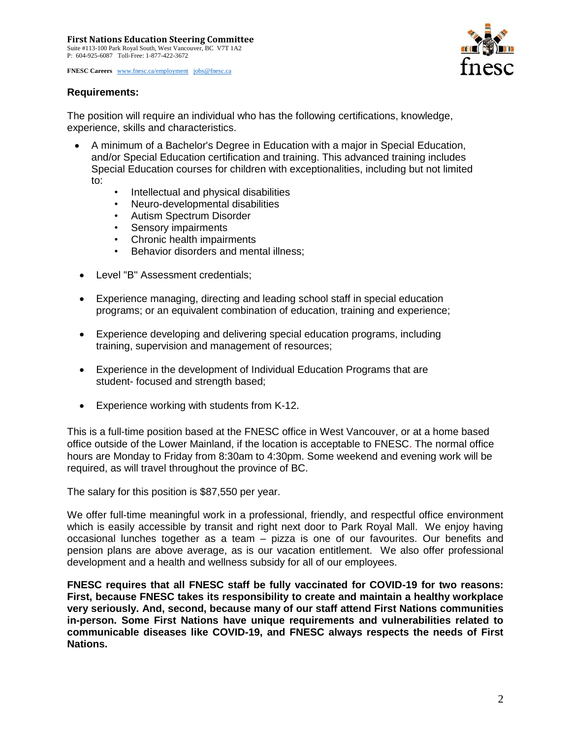**FNESC Careers** [www.fnesc.ca/employment](http://www.fnesc.ca/employment) [jobs@fnesc.ca](mailto:jobs@fnesc.ca) 





The position will require an individual who has the following certifications, knowledge, experience, skills and characteristics.

- A minimum of a Bachelor's Degree in Education with a major in Special Education, and/or Special Education certification and training. This advanced training includes Special Education courses for children with exceptionalities, including but not limited to:
	- Intellectual and physical disabilities
	- Neuro-developmental disabilities
	- Autism Spectrum Disorder
	- Sensory impairments
	- Chronic health impairments
	- Behavior disorders and mental illness;
	- Level "B" Assessment credentials;
	- Experience managing, directing and leading school staff in special education programs; or an equivalent combination of education, training and experience;
- Experience developing and delivering special education programs, including training, supervision and management of resources;
- Experience in the development of Individual Education Programs that are student- focused and strength based;
- Experience working with students from K-12.

This is a full-time position based at the FNESC office in West Vancouver, or at a home based office outside of the Lower Mainland, if the location is acceptable to FNESC. The normal office hours are Monday to Friday from 8:30am to 4:30pm. Some weekend and evening work will be required, as will travel throughout the province of BC.

The salary for this position is \$87,550 per year.

We offer full-time meaningful work in a professional, friendly, and respectful office environment which is easily accessible by transit and right next door to Park Royal Mall. We enjoy having occasional lunches together as a team – pizza is one of our favourites. Our benefits and pension plans are above average, as is our vacation entitlement. We also offer professional development and a health and wellness subsidy for all of our employees.

**FNESC requires that all FNESC staff be fully vaccinated for COVID-19 for two reasons: First, because FNESC takes its responsibility to create and maintain a healthy workplace very seriously. And, second, because many of our staff attend First Nations communities in-person. Some First Nations have unique requirements and vulnerabilities related to communicable diseases like COVID-19, and FNESC always respects the needs of First Nations.**